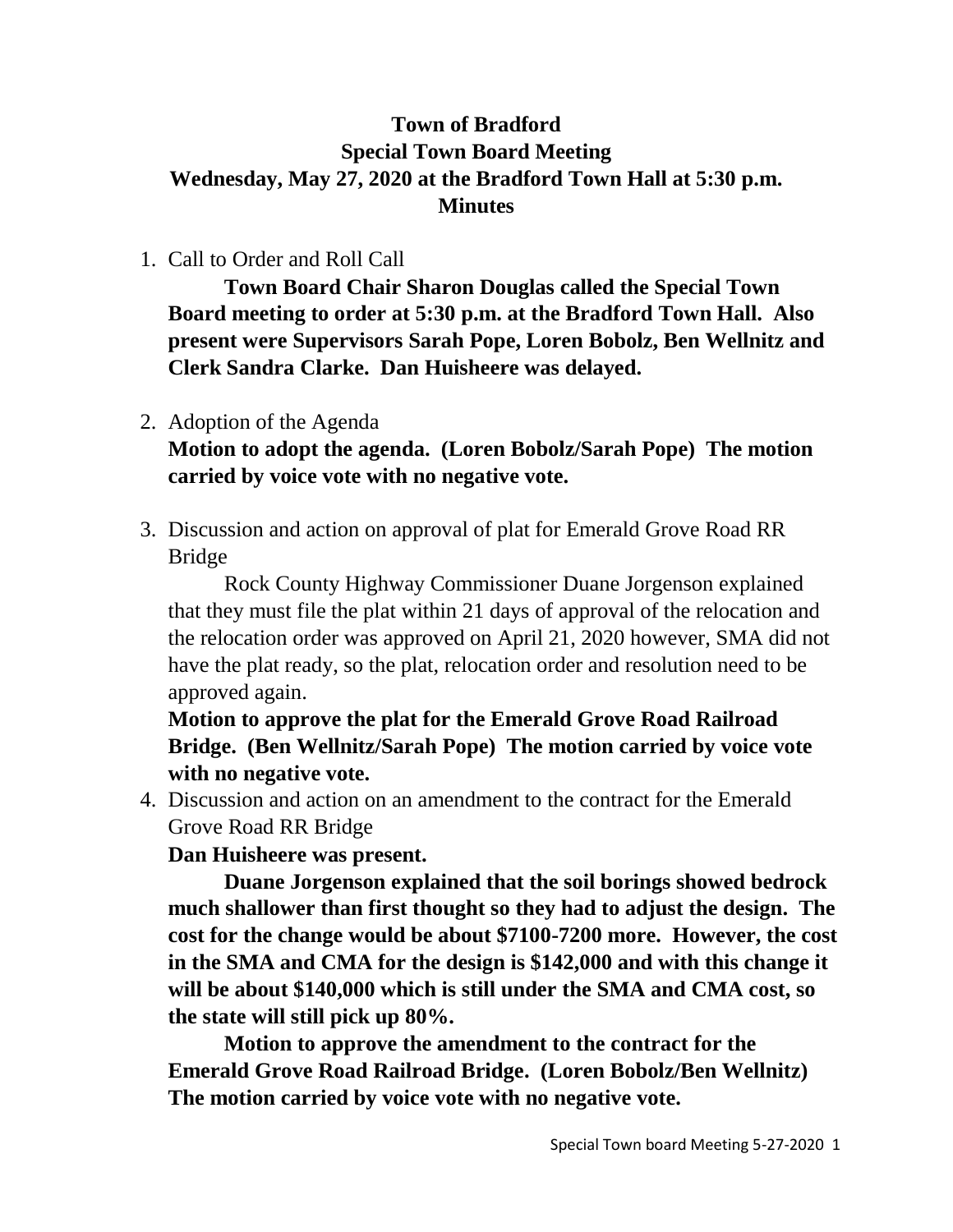## **Town of Bradford Special Town Board Meeting Wednesday, May 27, 2020 at the Bradford Town Hall at 5:30 p.m. Minutes**

1. Call to Order and Roll Call

**Town Board Chair Sharon Douglas called the Special Town Board meeting to order at 5:30 p.m. at the Bradford Town Hall. Also present were Supervisors Sarah Pope, Loren Bobolz, Ben Wellnitz and Clerk Sandra Clarke. Dan Huisheere was delayed.**

2. Adoption of the Agenda

**Motion to adopt the agenda. (Loren Bobolz/Sarah Pope) The motion carried by voice vote with no negative vote.**

3. Discussion and action on approval of plat for Emerald Grove Road RR Bridge

Rock County Highway Commissioner Duane Jorgenson explained that they must file the plat within 21 days of approval of the relocation and the relocation order was approved on April 21, 2020 however, SMA did not have the plat ready, so the plat, relocation order and resolution need to be approved again.

**Motion to approve the plat for the Emerald Grove Road Railroad Bridge. (Ben Wellnitz/Sarah Pope) The motion carried by voice vote with no negative vote.**

4. Discussion and action on an amendment to the contract for the Emerald Grove Road RR Bridge

**Dan Huisheere was present.**

**Duane Jorgenson explained that the soil borings showed bedrock much shallower than first thought so they had to adjust the design. The cost for the change would be about \$7100-7200 more. However, the cost in the SMA and CMA for the design is \$142,000 and with this change it will be about \$140,000 which is still under the SMA and CMA cost, so the state will still pick up 80%.**

**Motion to approve the amendment to the contract for the Emerald Grove Road Railroad Bridge. (Loren Bobolz/Ben Wellnitz) The motion carried by voice vote with no negative vote.**